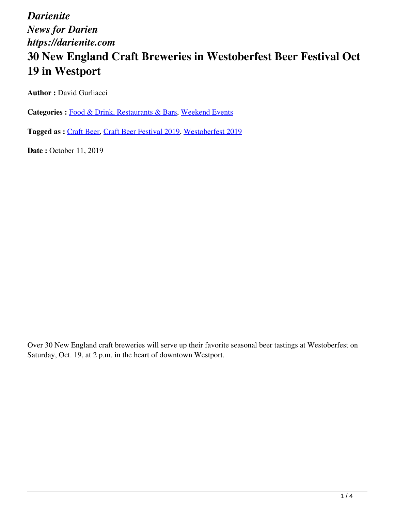*Darienite News for Darien https://darienite.com*

# **30 New England Craft Breweries in Westoberfest Beer Festival Oct 19 in Westport**

**Author : David Gurliacci** 

Categories : [Food & Drink, Restaurants & Bars](https://darienite.com/category/food-drink-restaurants-bars), Weekend Events

**Tagged as :** Craft Beer, Craft Beer Festival 2019, Westoberfest 2019

**Date : October 11, 2019** 

Over 30 New England craft breweries will serve up their favorite seasonal beer tastings at Westoberfest on Saturday, Oct. 19, at 2 p.m. in the heart of downtown Westport.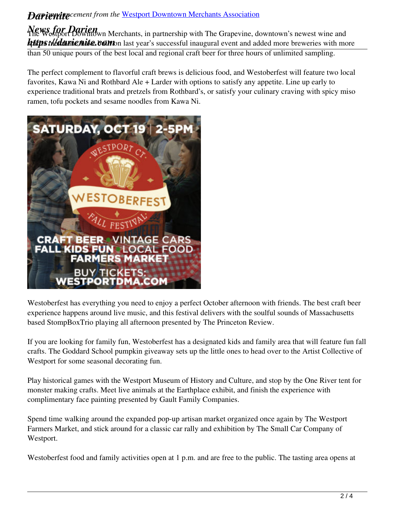## **Dariening** cement from the Westport Downtown Merchants Association

*News for Darien* The Westport Downtown Merchants, in partnership with The Grapevine, downtown's newest wine and **https://darienite.com** last year's successful inaugural event and added more breweries with more than 50 unique pours of the best local and regional craft beer for three hours of unlimited sampling.

The perfect complement to flavorful craft brews is delicious food, and Westoberfest will feature two local favorites, Kawa Ni and Rothbard Ale + Larder with options to satisfy any appetite. Line up early to experience traditional brats and pretzels from Rothbard's, or satisfy your culinary craving with spicy miso ramen, tofu pockets and sesame noodles from Kawa Ni.



Westoberfest has everything you need to enjoy a perfect October afternoon with friends. The best craft beer experience happens around live music, and this festival delivers with the soulful sounds of Massachusetts based StompBoxTrio playing all afternoon presented by The Princeton Review.

If you are looking for family fun, Westoberfest has a designated kids and family area that will feature fun fall crafts. The Goddard School pumpkin giveaway sets up the little ones to head over to the Artist Collective of Westport for some seasonal decorating fun.

Play historical games with the Westport Museum of History and Culture, and stop by the One River tent for monster making crafts. Meet live animals at the Earthplace exhibit, and finish the experience with complimentary face painting presented by Gault Family Companies.

Spend time walking around the expanded pop-up artisan market organized once again by The Westport Farmers Market, and stick around for a classic car rally and exhibition by The Small Car Company of Westport.

Westoberfest food and family activities open at 1 p.m. and are free to the public. The tasting area opens at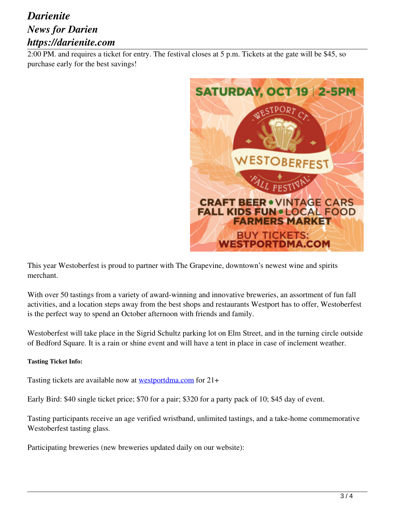## *Darienite News for Darien https://darienite.com*

2:00 PM. and requires a ticket for entry. The festival closes at 5 p.m. Tickets at the gate will be \$45, so purchase early for the best savings!



This year Westoberfest is proud to partner with The Grapevine, downtown's newest wine and spirits merchant.

With over 50 tastings from a variety of award-winning and innovative breweries, an assortment of fun fall activities, and a location steps away from the best shops and restaurants Westport has to offer, Westoberfest is the perfect way to spend an October afternoon with friends and family.

Westoberfest will take place in the Sigrid Schultz parking lot on Elm Street, and in the turning circle outside of Bedford Square. It is a rain or shine event and will have a tent in place in case of inclement weather.

### **Tasting Ticket Info:**

Tasting tickets are available now at westportdma.com for 21+

Early Bird: \$40 single ticket price; \$70 for a pair; \$320 for a party pack of 10; \$45 day of event.

Tasting participants receive an age verified wristband, unlimited tastings, and a take-home commemorative Westoberfest tasting glass.

Participating breweries (new breweries updated daily on our website):